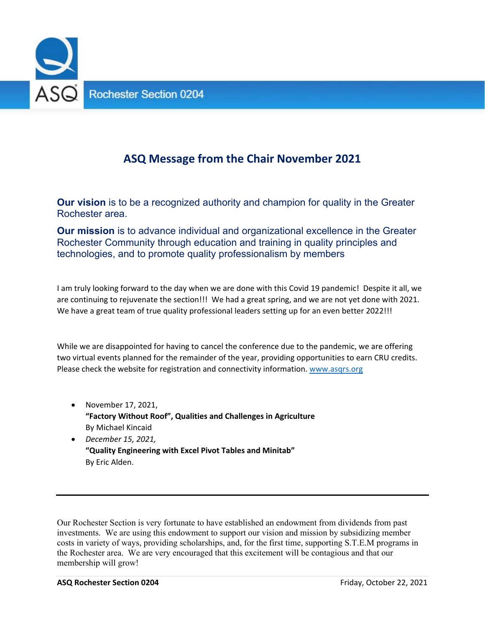

# **ASQ Message from the Chair November 2021**

**Our vision** is to be a recognized authority and champion for quality in the Greater Rochester area.

**Our mission** is to advance individual and organizational excellence in the Greater Rochester Community through education and training in quality principles and technologies, and to promote quality professionalism by members.

I am truly looking forward to the day when we are done with this Covid 19 pandemic! Despite it all, we are continuing to rejuvenate the section!!! We had a great spring, and we are not yet done with 2021. We have a great team of true quality professional leaders setting up for an even better 2022!!!

While we are disappointed for having to cancel the conference due to the pandemic, we are offering two virtual events planned for the remainder of the year, providing opportunities to earn CRU credits. Please check the website for registration and connectivity information. www.asqrs.org

- November 17, 2021, **"Factory Without Roof", Qualities and Challenges in Agriculture** By Michael Kincaid
- *December 15, 2021,*  **"Quality Engineering with Excel Pivot Tables and Minitab"**  By Eric Alden.

Our Rochester Section is very fortunate to have established an endowment from dividends from past investments. We are using this endowment to support our vision and mission by subsidizing member costs in variety of ways, providing scholarships, and, for the first time, supporting S.T.E.M programs in the Rochester area. We are very encouraged that this excitement will be contagious and that our membership will grow!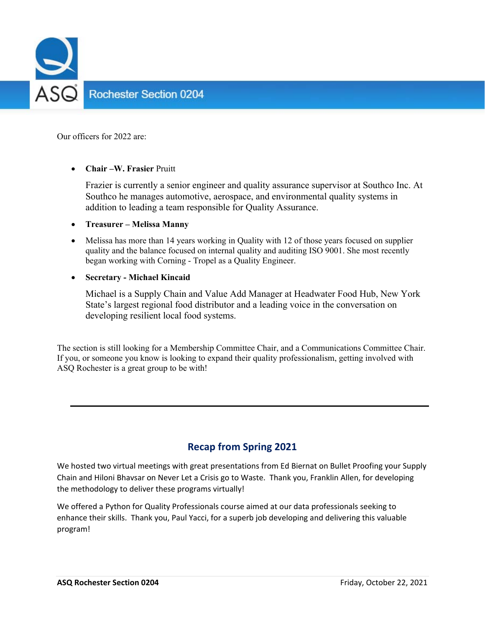

Our officers for 2022 are:

### **Chair –W. Frasier** Pruitt

Frazier is currently a senior engineer and quality assurance supervisor at Southco Inc. At Southco he manages automotive, aerospace, and environmental quality systems in addition to leading a team responsible for Quality Assurance.

#### **Treasurer – Melissa Manny**

 Melissa has more than 14 years working in Quality with 12 of those years focused on supplier quality and the balance focused on internal quality and auditing ISO 9001. She most recently began working with Corning - Tropel as a Quality Engineer.

### **Secretary - Michael Kincaid**

Michael is a Supply Chain and Value Add Manager at Headwater Food Hub, New York State's largest regional food distributor and a leading voice in the conversation on developing resilient local food systems.

The section is still looking for a Membership Committee Chair, and a Communications Committee Chair. If you, or someone you know is looking to expand their quality professionalism, getting involved with ASQ Rochester is a great group to be with!

### **Recap from Spring 2021**

We hosted two virtual meetings with great presentations from Ed Biernat on Bullet Proofing your Supply Chain and Hiloni Bhavsar on Never Let a Crisis go to Waste. Thank you, Franklin Allen, for developing the methodology to deliver these programs virtually!

We offered a Python for Quality Professionals course aimed at our data professionals seeking to enhance their skills. Thank you, Paul Yacci, for a superb job developing and delivering this valuable program!